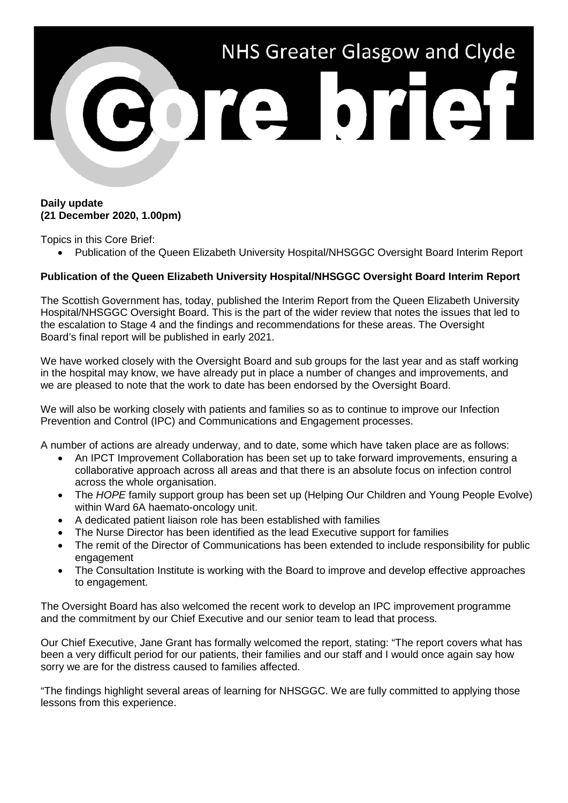

## **Daily update (21 December 2020, 1.00pm)**

Topics in this Core Brief:

• Publication of the Queen Elizabeth University Hospital/NHSGGC Oversight Board Interim Report

## **Publication of the Queen Elizabeth University Hospital/NHSGGC Oversight Board Interim Report**

The Scottish Government has, today, published the Interim Report from the Queen Elizabeth University Hospital/NHSGGC Oversight Board. This is the part of the wider review that notes the issues that led to the escalation to Stage 4 and the findings and recommendations for these areas. The Oversight Board's final report will be published in early 2021.

We have worked closely with the Oversight Board and sub groups for the last year and as staff working in the hospital may know, we have already put in place a number of changes and improvements, and we are pleased to note that the work to date has been endorsed by the Oversight Board.

We will also be working closely with patients and families so as to continue to improve our Infection Prevention and Control (IPC) and Communications and Engagement processes.

A number of actions are already underway, and to date, some which have taken place are as follows:

- An IPCT Improvement Collaboration has been set up to take forward improvements, ensuring a collaborative approach across all areas and that there is an absolute focus on infection control across the whole organisation.
- The *HOPE* family support group has been set up (Helping Our Children and Young People Evolve) within Ward 6A haemato-oncology unit.
- A dedicated patient liaison role has been established with families
- The Nurse Director has been identified as the lead Executive support for families
- The remit of the Director of Communications has been extended to include responsibility for public engagement
- The Consultation Institute is working with the Board to improve and develop effective approaches to engagement.

The Oversight Board has also welcomed the recent work to develop an IPC improvement programme and the commitment by our Chief Executive and our senior team to lead that process.

Our Chief Executive, Jane Grant has formally welcomed the report, stating: "The report covers what has been a very difficult period for our patients, their families and our staff and I would once again say how sorry we are for the distress caused to families affected.

"The findings highlight several areas of learning for NHSGGC. We are fully committed to applying those lessons from this experience.